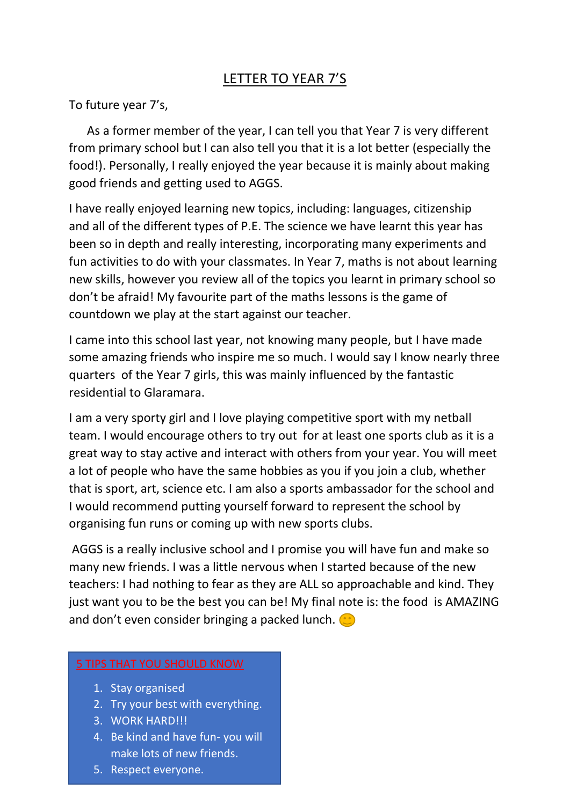## LETTER TO YEAR 7'S

To future year 7's,

 As a former member of the year, I can tell you that Year 7 is very different from primary school but I can also tell you that it is a lot better (especially the food!). Personally, I really enjoyed the year because it is mainly about making good friends and getting used to AGGS.

I have really enjoyed learning new topics, including: languages, citizenship and all of the different types of P.E. The science we have learnt this year has been so in depth and really interesting, incorporating many experiments and fun activities to do with your classmates. In Year 7, maths is not about learning new skills, however you review all of the topics you learnt in primary school so don't be afraid! My favourite part of the maths lessons is the game of countdown we play at the start against our teacher.

I came into this school last year, not knowing many people, but I have made some amazing friends who inspire me so much. I would say I know nearly three quarters of the Year 7 girls, this was mainly influenced by the fantastic residential to Glaramara.

I am a very sporty girl and I love playing competitive sport with my netball team. I would encourage others to try out for at least one sports club as it is a great way to stay active and interact with others from your year. You will meet a lot of people who have the same hobbies as you if you join a club, whether that is sport, art, science etc. I am also a sports ambassador for the school and I would recommend putting yourself forward to represent the school by organising fun runs or coming up with new sports clubs.

AGGS is a really inclusive school and I promise you will have fun and make so many new friends. I was a little nervous when I started because of the new teachers: I had nothing to fear as they are ALL so approachable and kind. They just want you to be the best you can be! My final note is: the food is AMAZING and don't even consider bringing a packed lunch.  $\bullet$ 

## 5 TIPS THAT YOU SHOULD KNOW

- 1. Stay organised
- 2. Try your best with everything.
- 3. WORK HARD!!!
- 4. Be kind and have fun- you will make lots of new friends.
- 5. Respect everyone.